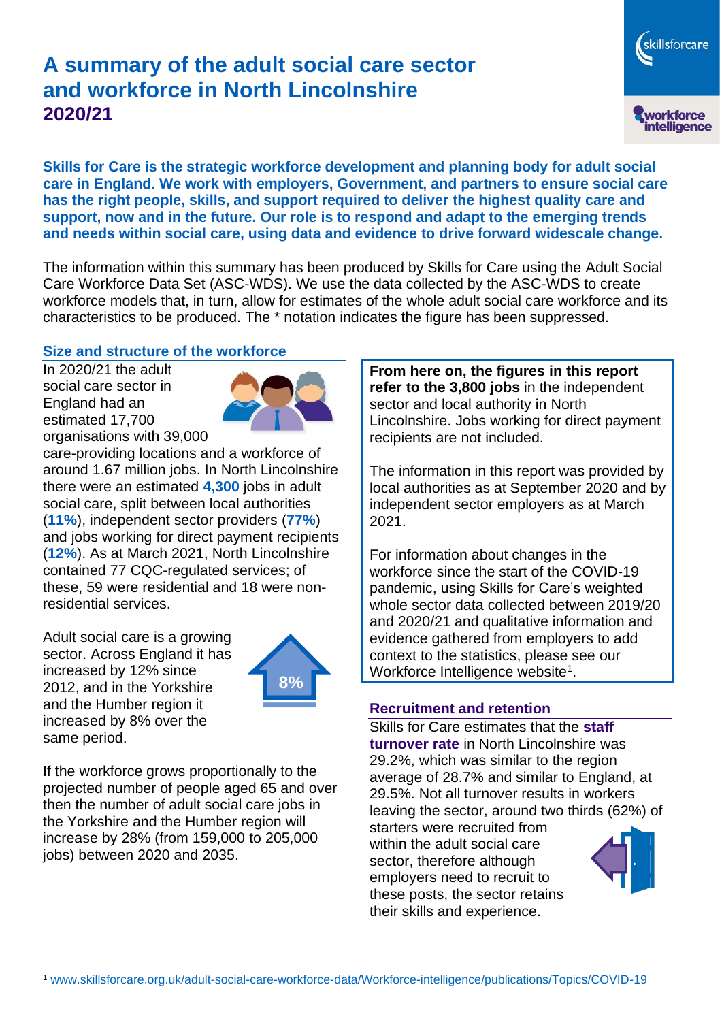# **A summary of the adult social care sector and workforce in North Lincolnshire 2020/21**

skillsforcare workforce<br>intelligence

**Skills for Care is the strategic workforce development and planning body for adult social care in England. We work with employers, Government, and partners to ensure social care has the right people, skills, and support required to deliver the highest quality care and support, now and in the future. Our role is to respond and adapt to the emerging trends and needs within social care, using data and evidence to drive forward widescale change.**

The information within this summary has been produced by Skills for Care using the Adult Social Care Workforce Data Set (ASC-WDS). We use the data collected by the ASC-WDS to create workforce models that, in turn, allow for estimates of the whole adult social care workforce and its characteristics to be produced. The \* notation indicates the figure has been suppressed.

#### **Size and structure of the workforce**

In 2020/21 the adult social care sector in England had an estimated 17,700 organisations with 39,000



care-providing locations and a workforce of around 1.67 million jobs. In North Lincolnshire there were an estimated **4,300** jobs in adult social care, split between local authorities (**11%**), independent sector providers (**77%**) and jobs working for direct payment recipients (**12%**). As at March 2021, North Lincolnshire contained 77 CQC-regulated services; of these, 59 were residential and 18 were nonresidential services.

Adult social care is a growing sector. Across England it has increased by 12% since 2012, and in the Yorkshire and the Humber region it increased by 8% over the same period.



If the workforce grows proportionally to the projected number of people aged 65 and over then the number of adult social care jobs in the Yorkshire and the Humber region will increase by 28% (from 159,000 to 205,000 jobs) between 2020 and 2035.

**From here on, the figures in this report refer to the 3,800 jobs** in the independent sector and local authority in North Lincolnshire. Jobs working for direct payment recipients are not included.

The information in this report was provided by local authorities as at September 2020 and by independent sector employers as at March 2021.

For information about changes in the workforce since the start of the COVID-19 pandemic, using Skills for Care's weighted whole sector data collected between 2019/20 and 2020/21 and qualitative information and evidence gathered from employers to add context to the statistics, please see our Workforce Intelligence website<sup>1</sup>.

#### **Recruitment and retention**

Skills for Care estimates that the **staff turnover rate** in North Lincolnshire was 29.2%, which was similar to the region average of 28.7% and similar to England, at 29.5%. Not all turnover results in workers leaving the sector, around two thirds (62%) of

starters were recruited from within the adult social care sector, therefore although employers need to recruit to these posts, the sector retains their skills and experience.

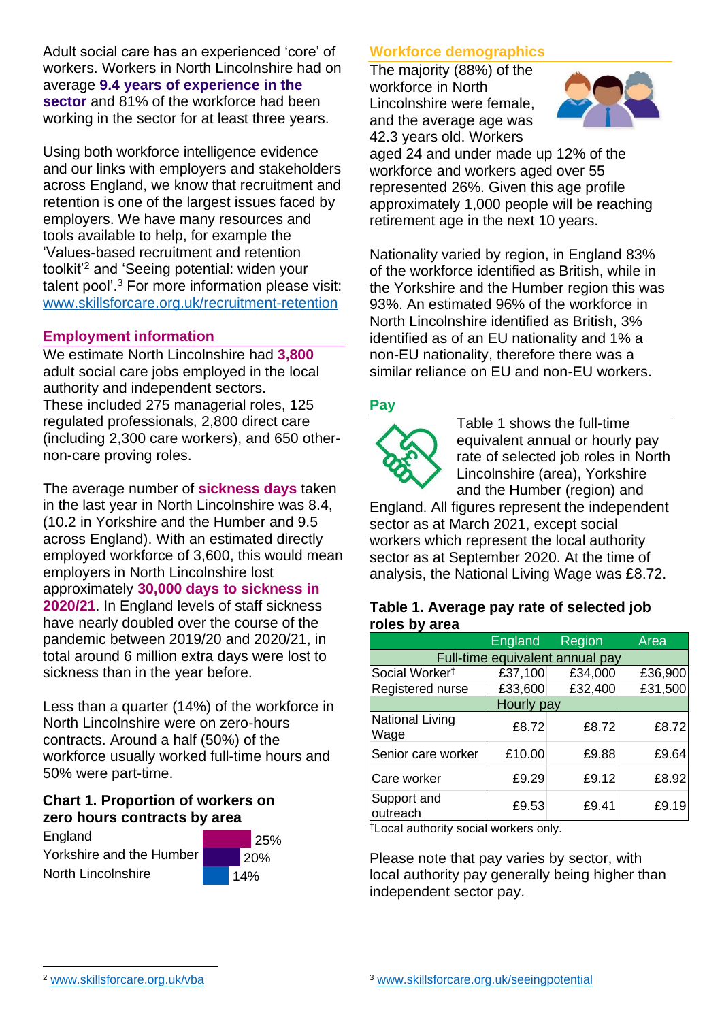Adult social care has an experienced 'core' of workers. Workers in North Lincolnshire had on average **9.4 years of experience in the sector** and 81% of the workforce had been working in the sector for at least three years.

Using both workforce intelligence evidence and our links with employers and stakeholders across England, we know that recruitment and retention is one of the largest issues faced by employers. We have many resources and tools available to help, for example the 'Values-based recruitment and retention toolkit'<sup>2</sup> and 'Seeing potential: widen your talent pool'. <sup>3</sup> For more information please visit: [www.skillsforcare.org.uk/recruitment-retention](http://www.skillsforcare.org.uk/recruitment-retention)

#### **Employment information**

We estimate North Lincolnshire had **3,800** adult social care jobs employed in the local authority and independent sectors. These included 275 managerial roles, 125 regulated professionals, 2,800 direct care (including 2,300 care workers), and 650 othernon-care proving roles.

The average number of **sickness days** taken in the last year in North Lincolnshire was 8.4, (10.2 in Yorkshire and the Humber and 9.5 across England). With an estimated directly employed workforce of 3,600, this would mean employers in North Lincolnshire lost approximately **30,000 days to sickness in 2020/21**. In England levels of staff sickness have nearly doubled over the course of the pandemic between 2019/20 and 2020/21, in total around 6 million extra days were lost to sickness than in the year before.

Less than a quarter (14%) of the workforce in North Lincolnshire were on zero-hours contracts. Around a half (50%) of the workforce usually worked full-time hours and 50% were part-time.

#### **Chart 1. Proportion of workers on zero hours contracts by area**

England Yorkshire and the Humber North Lincolnshire



# **Workforce demographics**

The majority (88%) of the workforce in North Lincolnshire were female, and the average age was 42.3 years old. Workers



aged 24 and under made up 12% of the workforce and workers aged over 55 represented 26%. Given this age profile approximately 1,000 people will be reaching retirement age in the next 10 years.

Nationality varied by region, in England 83% of the workforce identified as British, while in the Yorkshire and the Humber region this was 93%. An estimated 96% of the workforce in North Lincolnshire identified as British, 3% identified as of an EU nationality and 1% a non-EU nationality, therefore there was a similar reliance on EU and non-EU workers.

## **Pay**



Table 1 shows the full-time equivalent annual or hourly pay rate of selected job roles in North Lincolnshire (area), Yorkshire and the Humber (region) and

England. All figures represent the independent sector as at March 2021, except social workers which represent the local authority sector as at September 2020. At the time of analysis, the National Living Wage was £8.72.

#### **Table 1. Average pay rate of selected job roles by area**

|                                 | England | Region  | Area    |
|---------------------------------|---------|---------|---------|
| Full-time equivalent annual pay |         |         |         |
| Social Worker <sup>t</sup>      | £37,100 | £34,000 | £36,900 |
| Registered nurse                | £33,600 | £32,400 | £31,500 |
| Hourly pay                      |         |         |         |
| National Living<br>Wage         | £8.72   | £8.72   | £8.72   |
| Senior care worker              | £10.00  | £9.88   | £9.64   |
| Care worker                     | £9.29   | £9.12   | £8.92   |
| Support and<br>outreach         | £9.53   | £9.41   | £9.19   |

†Local authority social workers only.

Please note that pay varies by sector, with local authority pay generally being higher than independent sector pay.

[www.skillsforcare.org.uk/vba](http://www.skillsforcare.org.uk/vba)